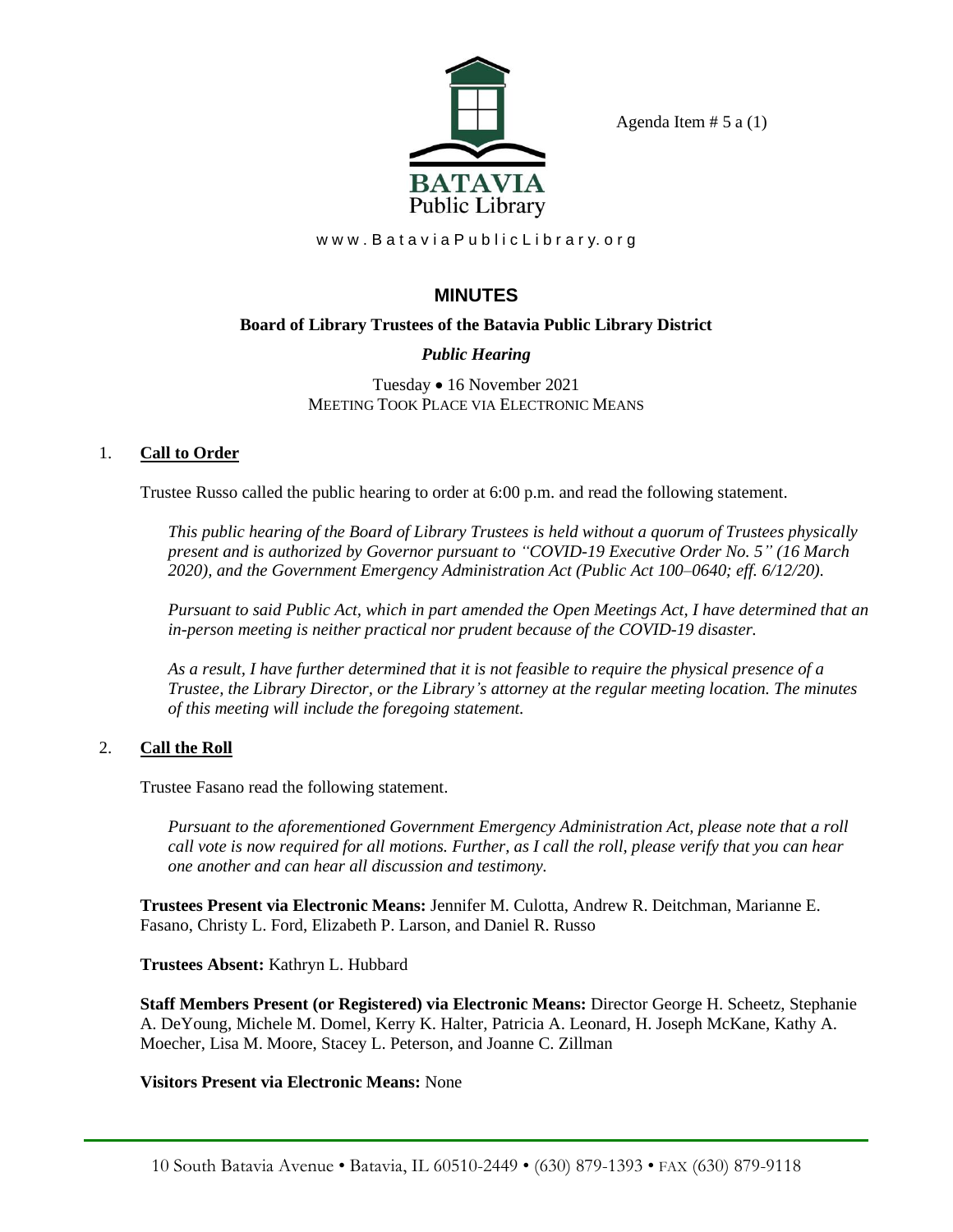

Agenda Item  $# 5$  a  $(1)$ 

www.BataviaPublicLibrary.org

# **MINUTES**

### **Board of Library Trustees of the Batavia Public Library District**

# *Public Hearing*

Tuesday • 16 November 2021 MEETING TOOK PLACE VIA ELECTRONIC MEANS

### 1. **Call to Order**

Trustee Russo called the public hearing to order at 6:00 p.m. and read the following statement.

*This public hearing of the Board of Library Trustees is held without a quorum of Trustees physically present and is authorized by Governor pursuant to "COVID-19 Executive Order No. 5" (16 March 2020), and the Government Emergency Administration Act (Public Act 100–0640; eff. 6/12/20).*

*Pursuant to said Public Act, which in part amended the Open Meetings Act, I have determined that an in-person meeting is neither practical nor prudent because of the COVID-19 disaster.*

*As a result, I have further determined that it is not feasible to require the physical presence of a Trustee, the Library Director, or the Library's attorney at the regular meeting location. The minutes of this meeting will include the foregoing statement.*

# 2. **Call the Roll**

Trustee Fasano read the following statement.

*Pursuant to the aforementioned Government Emergency Administration Act, please note that a roll call vote is now required for all motions. Further, as I call the roll, please verify that you can hear one another and can hear all discussion and testimony.*

**Trustees Present via Electronic Means:** Jennifer M. Culotta, Andrew R. Deitchman, Marianne E. Fasano, Christy L. Ford, Elizabeth P. Larson, and Daniel R. Russo

**Trustees Absent:** Kathryn L. Hubbard

**Staff Members Present (or Registered) via Electronic Means:** Director George H. Scheetz, Stephanie A. DeYoung, Michele M. Domel, Kerry K. Halter, Patricia A. Leonard, H. Joseph McKane, Kathy A. Moecher, Lisa M. Moore, Stacey L. Peterson, and Joanne C. Zillman

#### **Visitors Present via Electronic Means:** None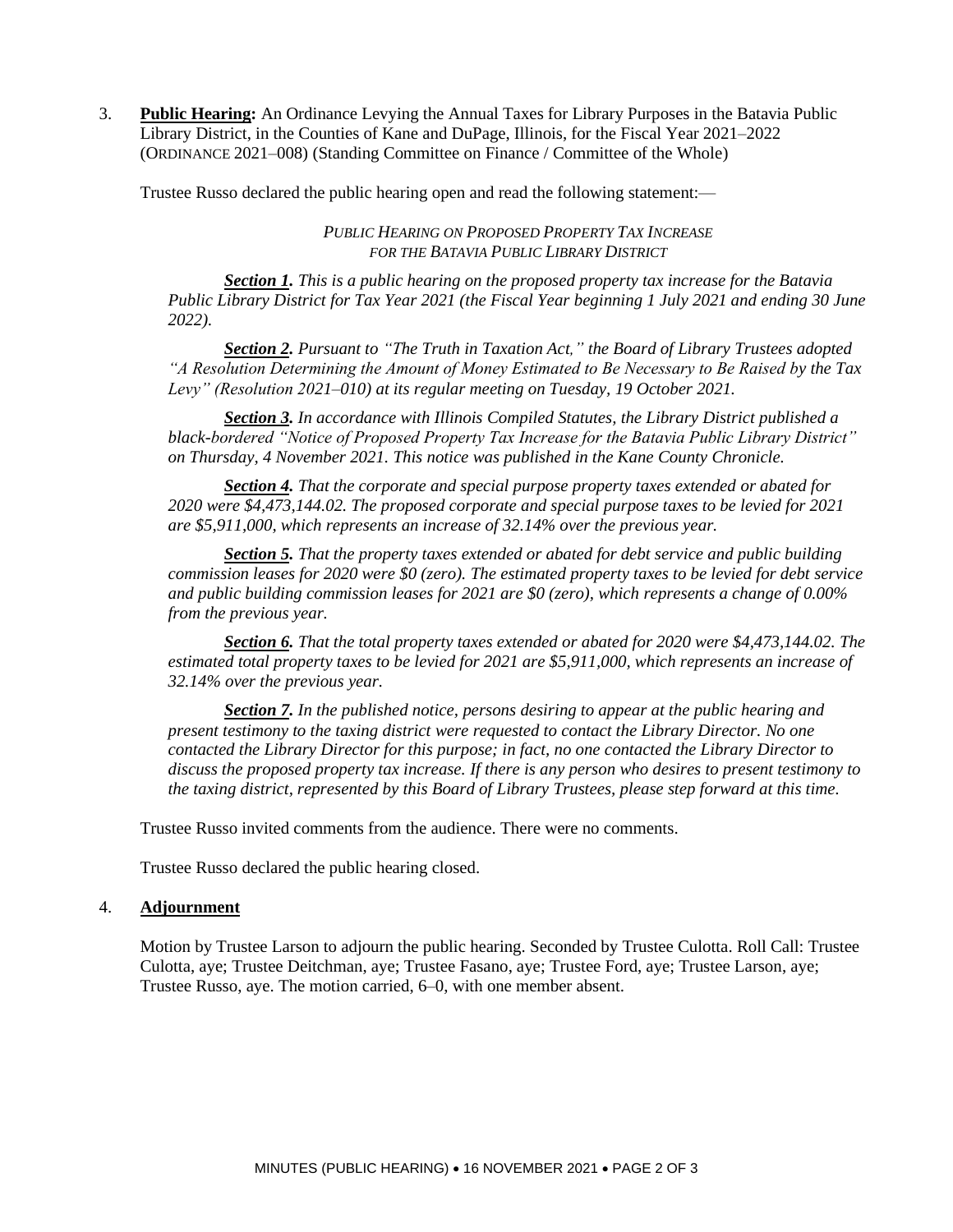3. **Public Hearing:** An Ordinance Levying the Annual Taxes for Library Purposes in the Batavia Public Library District, in the Counties of Kane and DuPage, Illinois, for the Fiscal Year 2021–2022 (ORDINANCE 2021–008) (Standing Committee on Finance / Committee of the Whole)

Trustee Russo declared the public hearing open and read the following statement:—

*PUBLIC HEARING ON PROPOSED PROPERTY TAX INCREASE FOR THE BATAVIA PUBLIC LIBRARY DISTRICT*

*Section 1. This is a public hearing on the proposed property tax increase for the Batavia Public Library District for Tax Year 2021 (the Fiscal Year beginning 1 July 2021 and ending 30 June 2022).*

*Section 2. Pursuant to "The Truth in Taxation Act," the Board of Library Trustees adopted "A Resolution Determining the Amount of Money Estimated to Be Necessary to Be Raised by the Tax Levy" (Resolution 2021–010) at its regular meeting on Tuesday, 19 October 2021.*

*Section 3. In accordance with Illinois Compiled Statutes, the Library District published a black-bordered "Notice of Proposed Property Tax Increase for the Batavia Public Library District" on Thursday, 4 November 2021. This notice was published in the Kane County Chronicle.*

*Section 4. That the corporate and special purpose property taxes extended or abated for 2020 were \$4,473,144.02. The proposed corporate and special purpose taxes to be levied for 2021 are \$5,911,000, which represents an increase of 32.14% over the previous year.*

*Section 5. That the property taxes extended or abated for debt service and public building commission leases for 2020 were \$0 (zero). The estimated property taxes to be levied for debt service and public building commission leases for 2021 are \$0 (zero), which represents a change of 0.00% from the previous year.*

*Section 6. That the total property taxes extended or abated for 2020 were \$4,473,144.02. The estimated total property taxes to be levied for 2021 are \$5,911,000, which represents an increase of 32.14% over the previous year.*

*Section 7. In the published notice, persons desiring to appear at the public hearing and present testimony to the taxing district were requested to contact the Library Director. No one contacted the Library Director for this purpose; in fact, no one contacted the Library Director to discuss the proposed property tax increase. If there is any person who desires to present testimony to the taxing district, represented by this Board of Library Trustees, please step forward at this time.*

Trustee Russo invited comments from the audience. There were no comments.

Trustee Russo declared the public hearing closed.

#### 4. **Adjournment**

Motion by Trustee Larson to adjourn the public hearing. Seconded by Trustee Culotta. Roll Call: Trustee Culotta, aye; Trustee Deitchman, aye; Trustee Fasano, aye; Trustee Ford, aye; Trustee Larson, aye; Trustee Russo, aye. The motion carried, 6–0, with one member absent.